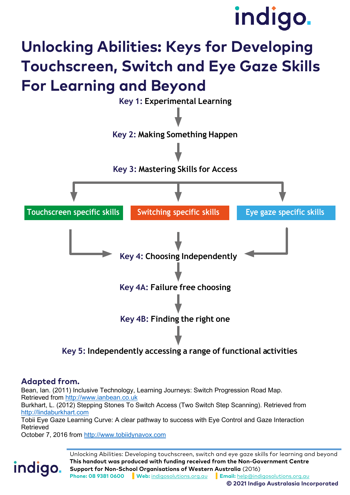# indigo.

## **Unlocking Abilities: Keys for Developing Touchscreen, Switch and Eye Gaze Skills For Learning and Beyond**



**Key 5: Independently accessing a range of functional activities**

#### **Adapted from.**

indigo.

Bean, Ian. (2011) Inclusive Technology, Learning Journeys: Switch Progression Road Map. Retrieved from [http://www.ianbean.co.uk](http://www.ianbean.co.uk/)

Burkhart, L. (2012) Stepping Stones To Switch Access (Two Switch Step Scanning). Retrieved from [http://lindaburkhart.com](http://lindaburkhart.com/)

Tobii Eye Gaze Learning Curve: A clear pathway to success with Eye Control and Gaze Interaction Retrieved

October 7, 2016 from [http://www.tobiidynavox.com](http://www.tobiidynavox.com/)